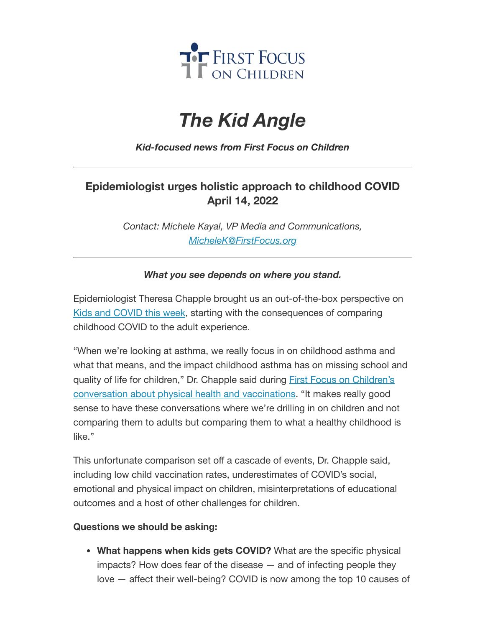

# *The Kid Angle*

### *Kid-focused news from First Focus on Children*

# **Epidemiologist urges holistic approach to childhood COVID April 14, 2022**

*Contact: Michele Kayal, VP Media and Communications, [MicheleK@FirstFocus.org](mailto:MicheleK@firstfocus.org)*

#### *What you see depends on where you stand.*

Epidemiologist Theresa Chapple brought us an out-of-the-box perspective on Kids and COVID [this week](https://action.campaignforchildren.org/r?u=FzF-KU0ygDWc21UK_uySevW1-zlcSNUtCWnDcnU-x4nwhRn-7JMrF1ebw3Dqk6hOwfN7wF-7NAS1no84P8beLA&e=6d50ef9bac605c372bd31a2e7c9cacfd&utm_source=ffcc&utm_medium=email&utm_campaign=_96_supporters&n=2&test_email=1), starting with the consequences of comparing childhood COVID to the adult experience.

"When we're looking at asthma, we really focus in on childhood asthma and what that means, and the impact childhood asthma has on missing school and quality of life for children," Dr. Chapple said during First Focus on Children's conversation about physical health and vaccinations. "It [makes really good](https://action.campaignforchildren.org/r?u=FzF-KU0ygDWc21UK_uySevW1-zlcSNUtCWnDcnU-x4nwhRn-7JMrF1ebw3Dqk6hOwfN7wF-7NAS1no84P8beLA&e=6d50ef9bac605c372bd31a2e7c9cacfd&utm_source=ffcc&utm_medium=email&utm_campaign=_96_supporters&n=3&test_email=1) sense to have these conversations where we're drilling in on children and not comparing them to adults but comparing them to what a healthy childhood is like."

This unfortunate comparison set off a cascade of events, Dr. Chapple said, including low child vaccination rates, underestimates of COVID's social, emotional and physical impact on children, misinterpretations of educational outcomes and a host of other challenges for children.

#### **Questions we should be asking:**

**What happens when kids gets COVID?** What are the specific physical impacts? How does fear of the disease — and of infecting people they love — affect their well-being? COVID is now among the top 10 causes of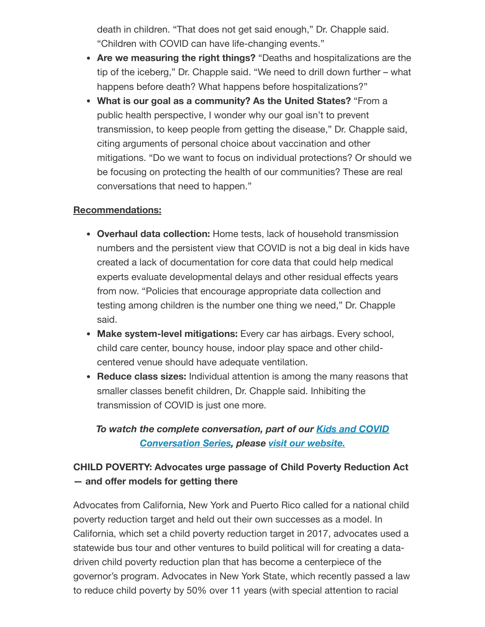death in children. "That does not get said enough," Dr. Chapple said. "Children with COVID can have life-changing events."

- **Are we measuring the right things?** "Deaths and hospitalizations are the tip of the iceberg," Dr. Chapple said. "We need to drill down further – what happens before death? What happens before hospitalizations?"
- **What is our goal as a community? As the United States?** "From a public health perspective, I wonder why our goal isn't to prevent transmission, to keep people from getting the disease," Dr. Chapple said, citing arguments of personal choice about vaccination and other mitigations. "Do we want to focus on individual protections? Or should we be focusing on protecting the health of our communities? These are real conversations that need to happen."

#### **Recommendations:**

- **Overhaul data collection:** Home tests, lack of household transmission numbers and the persistent view that COVID is not a big deal in kids have created a lack of documentation for core data that could help medical experts evaluate developmental delays and other residual effects years from now. "Policies that encourage appropriate data collection and testing among children is the number one thing we need," Dr. Chapple said.
- **Make system-level mitigations:** Every car has airbags. Every school, child care center, bouncy house, indoor play space and other childcentered venue should have adequate ventilation.
- **Reduce class sizes:** Individual attention is among the many reasons that smaller classes benefit children, Dr. Chapple said. Inhibiting the transmission of COVID is just one more.

## *To watch the complete [conversation,](https://join.firstfocus.org/kidsandcovid?e=6d50ef9bac605c372bd31a2e7c9cacfd&utm_source=ffcc&utm_medium=email&utm_campaign=_96_supporters&n=4&test_email=1) part of our Kids and COVID Conversation Series, please visit our [website.](https://action.campaignforchildren.org/r?u=FzF-KU0ygDWc21UK_uySevW1-zlcSNUtCWnDcnU-x4nwhRn-7JMrF1ebw3Dqk6hOwfN7wF-7NAS1no84P8beLA&e=6d50ef9bac605c372bd31a2e7c9cacfd&utm_source=ffcc&utm_medium=email&utm_campaign=_96_supporters&n=5&test_email=1)*

# **CHILD POVERTY: Advocates urge passage of Child Poverty Reduction Act — and offer models for getting there**

Advocates from California, New York and Puerto Rico called for a national child poverty reduction target and held out their own successes as a model. In California, which set a child poverty reduction target in 2017, advocates used a statewide bus tour and other ventures to build political will for creating a datadriven child poverty reduction plan that has become a centerpiece of the governor's program. Advocates in New York State, which recently passed a law to reduce child poverty by 50% over 11 years (with special attention to racial